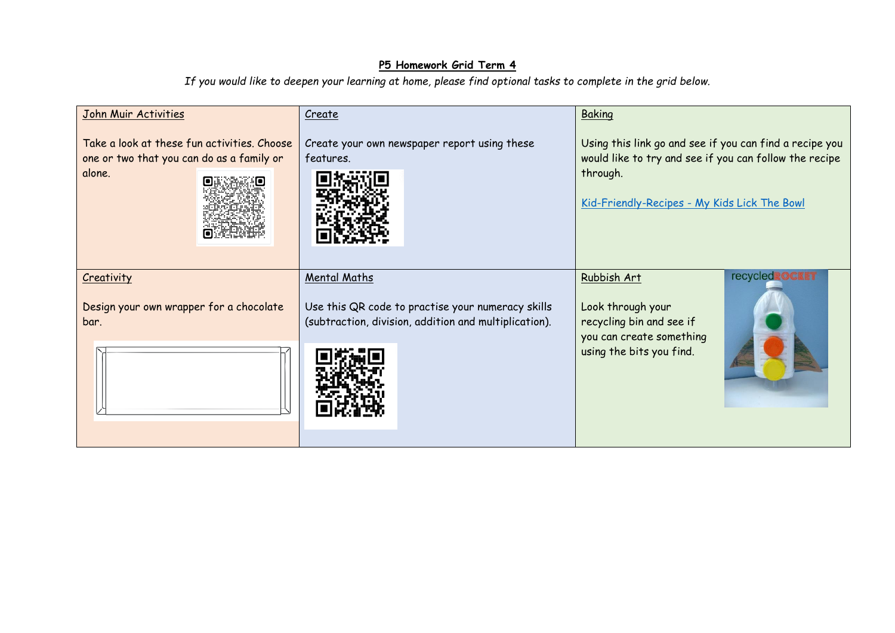## **P5 Homework Grid Term 4**

*If you would like to deepen your learning at home, please find optional tasks to complete in the grid below.* 

| John Muir Activities                                                                               | Create                                                                                                                            | Baking                                                                                                                                                                        |
|----------------------------------------------------------------------------------------------------|-----------------------------------------------------------------------------------------------------------------------------------|-------------------------------------------------------------------------------------------------------------------------------------------------------------------------------|
| Take a look at these fun activities. Choose<br>one or two that you can do as a family or<br>alone. | Create your own newspaper report using these<br>features.                                                                         | Using this link go and see if you can find a recipe you<br>would like to try and see if you can follow the recipe<br>through.<br>Kid-Friendly-Recipes - My Kids Lick The Bowl |
| Creativity<br>Design your own wrapper for a chocolate<br>bar.                                      | <b>Mental Maths</b><br>Use this QR code to practise your numeracy skills<br>(subtraction, division, addition and multiplication). | <b>recycledROCKET</b><br>Rubbish Art<br>Look through your<br>recycling bin and see if<br>you can create something                                                             |
|                                                                                                    |                                                                                                                                   | using the bits you find.                                                                                                                                                      |